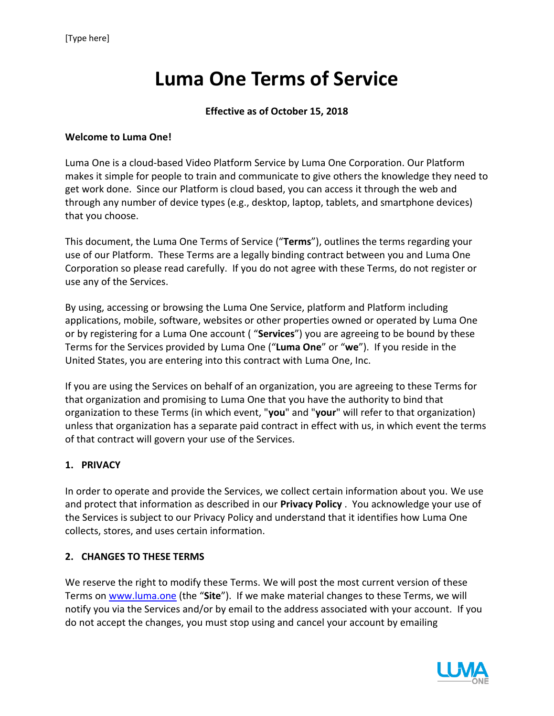# **Luma One Terms of Service**

#### **Effective as of October 15, 2018**

#### **Welcome to Luma One!**

Luma One is a cloud-based Video Platform Service by Luma One Corporation. Our Platform makes it simple for people to train and communicate to give others the knowledge they need to get work done. Since our Platform is cloud based, you can access it through the web and through any number of device types (e.g., desktop, laptop, tablets, and smartphone devices) that you choose.

This document, the Luma One Terms of Service ("**Terms**"), outlines the terms regarding your use of our Platform. These Terms are a legally binding contract between you and Luma One Corporation so please read carefully. If you do not agree with these Terms, do not register or use any of the Services.

By using, accessing or browsing the Luma One Service, platform and Platform including applications, mobile, software, websites or other properties owned or operated by Luma One or by registering for a Luma One account ( "**Services**") you are agreeing to be bound by these Terms for the Services provided by Luma One ("**Luma One**" or "**we**"). If you reside in the United States, you are entering into this contract with Luma One, Inc.

If you are using the Services on behalf of an organization, you are agreeing to these Terms for that organization and promising to Luma One that you have the authority to bind that organization to these Terms (in which event, "**you**" and "**your**" will refer to that organization) unless that organization has a separate paid contract in effect with us, in which event the terms of that contract will govern your use of the Services.

## **1. PRIVACY**

In order to operate and provide the Services, we collect certain information about you. We use and protect that information as described in our **[Privacy Policy](https://www.box.com/legal/privacypolicy/)** . You acknowledge your use of the Services is subject to our Privacy Policy and understand that it identifies how Luma One collects, stores, and uses certain information.

## **2. CHANGES TO THESE TERMS**

We reserve the right to modify these Terms. We will post the most current version of these Terms on [www.luma.one](http://www.luma.one/) (the "**Site**"). If we make material changes to these Terms, we will notify you via the Services and/or by email to the address associated with your account. If you do not accept the changes, you must stop using and cancel your account by emailing

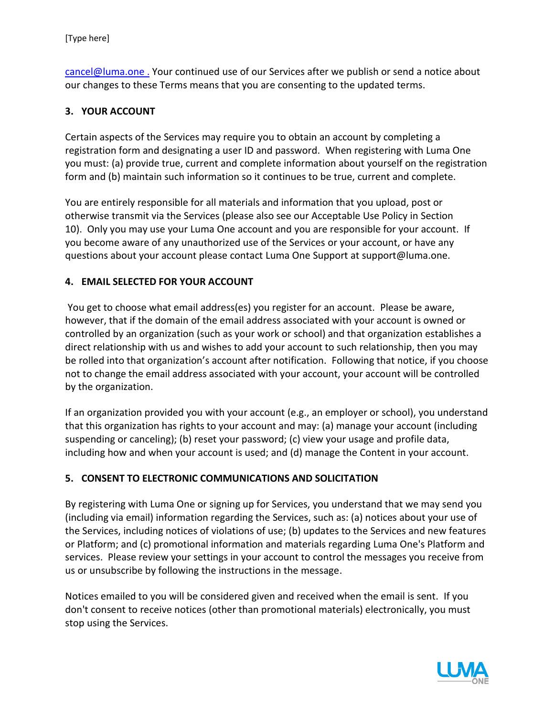[cancel@luma.one](mailto:cancel@luma.one) . Your continued use of our Services after we publish or send a notice about our changes to these Terms means that you are consenting to the updated terms.

# **3. YOUR ACCOUNT**

Certain aspects of the Services may require you to obtain an account by completing a registration form and designating a user ID and password. When registering with Luma One you must: (a) provide true, current and complete information about yourself on the registration form and (b) maintain such information so it continues to be true, current and complete.

You are entirely responsible for all materials and information that you upload, post or otherwise transmit via the Services (please also see our Acceptable Use Policy in Section 10). Only you may use your Luma One account and you are responsible for your account. If you become aware of any unauthorized use of the Services or your account, or have any questions about your account please contact Luma One Support at support@luma.one.

# **4. EMAIL SELECTED FOR YOUR ACCOUNT**

You get to choose what email address(es) you register for an account. Please be aware, however, that if the domain of the email address associated with your account is owned or controlled by an organization (such as your work or school) and that organization establishes a direct relationship with us and wishes to add your account to such relationship, then you may be rolled into that organization's account after notification. Following that notice, if you choose not to change the email address associated with your account, your account will be controlled by the organization.

If an organization provided you with your account (e.g., an employer or school), you understand that this organization has rights to your account and may: (a) manage your account (including suspending or canceling); (b) reset your password; (c) view your usage and profile data, including how and when your account is used; and (d) manage the Content in your account.

## **5. CONSENT TO ELECTRONIC COMMUNICATIONS AND SOLICITATION**

By registering with Luma One or signing up for Services, you understand that we may send you (including via email) information regarding the Services, such as: (a) notices about your use of the Services, including notices of violations of use; (b) updates to the Services and new features or Platform; and (c) promotional information and materials regarding Luma One's Platform and services. Please review your settings in your account to control the messages you receive from us or unsubscribe by following the instructions in the message.

Notices emailed to you will be considered given and received when the email is sent. If you don't consent to receive notices (other than promotional materials) electronically, you must stop using the Services.

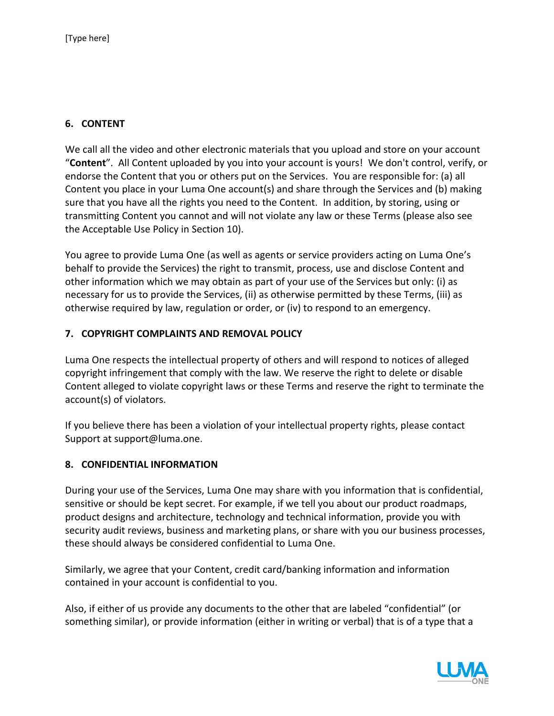# **6. CONTENT**

We call all the video and other electronic materials that you upload and store on your account "**Content**". All Content uploaded by you into your account is yours! We don't control, verify, or endorse the Content that you or others put on the Services. You are responsible for: (a) all Content you place in your Luma One account(s) and share through the Services and (b) making sure that you have all the rights you need to the Content. In addition, by storing, using or transmitting Content you cannot and will not violate any law or these Terms (please also see the Acceptable Use Policy in Section 10).

You agree to provide Luma One (as well as agents or service providers acting on Luma One's behalf to provide the Services) the right to transmit, process, use and disclose Content and other information which we may obtain as part of your use of the Services but only: (i) as necessary for us to provide the Services, (ii) as otherwise permitted by these Terms, (iii) as otherwise required by law, regulation or order, or (iv) to respond to an emergency.

#### **7. COPYRIGHT COMPLAINTS AND REMOVAL POLICY**

Luma One respects the intellectual property of others and will respond to notices of alleged copyright infringement that comply with the law. We reserve the right to delete or disable Content alleged to violate copyright laws or these Terms and reserve the right to terminate the account(s) of violators.

If you believe there has been a violation of your intellectual property rights, please contact Support at support@luma.one.

## **8. CONFIDENTIAL INFORMATION**

During your use of the Services, Luma One may share with you information that is confidential, sensitive or should be kept secret. For example, if we tell you about our product roadmaps, product designs and architecture, technology and technical information, provide you with security audit reviews, business and marketing plans, or share with you our business processes, these should always be considered confidential to Luma One.

Similarly, we agree that your Content, credit card/banking information and information contained in your account is confidential to you.

Also, if either of us provide any documents to the other that are labeled "confidential" (or something similar), or provide information (either in writing or verbal) that is of a type that a

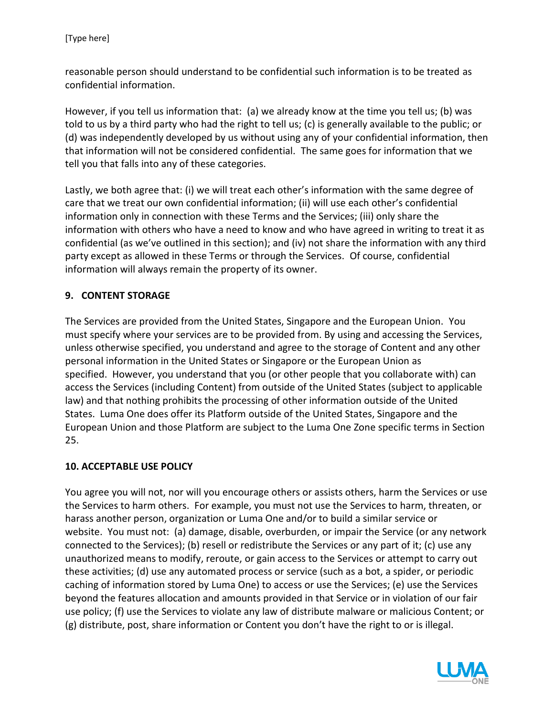reasonable person should understand to be confidential such information is to be treated as confidential information.

However, if you tell us information that: (a) we already know at the time you tell us; (b) was told to us by a third party who had the right to tell us; (c) is generally available to the public; or (d) was independently developed by us without using any of your confidential information, then that information will not be considered confidential. The same goes for information that we tell you that falls into any of these categories.

Lastly, we both agree that: (i) we will treat each other's information with the same degree of care that we treat our own confidential information; (ii) will use each other's confidential information only in connection with these Terms and the Services; (iii) only share the information with others who have a need to know and who have agreed in writing to treat it as confidential (as we've outlined in this section); and (iv) not share the information with any third party except as allowed in these Terms or through the Services. Of course, confidential information will always remain the property of its owner.

# **9. CONTENT STORAGE**

The Services are provided from the United States, Singapore and the European Union. You must specify where your services are to be provided from. By using and accessing the Services, unless otherwise specified, you understand and agree to the storage of Content and any other personal information in the United States or Singapore or the European Union as specified. However, you understand that you (or other people that you collaborate with) can access the Services (including Content) from outside of the United States (subject to applicable law) and that nothing prohibits the processing of other information outside of the United States. Luma One does offer its Platform outside of the United States, Singapore and the European Union and those Platform are subject to the Luma One Zone specific terms in Section 25.

## **10. ACCEPTABLE USE POLICY**

You agree you will not, nor will you encourage others or assists others, harm the Services or use the Services to harm others. For example, you must not use the Services to harm, threaten, or harass another person, organization or Luma One and/or to build a similar service or website. You must not: (a) damage, disable, overburden, or impair the Service (or any network connected to the Services); (b) resell or redistribute the Services or any part of it; (c) use any unauthorized means to modify, reroute, or gain access to the Services or attempt to carry out these activities; (d) use any automated process or service (such as a bot, a spider, or periodic caching of information stored by Luma One) to access or use the Services; (e) use the Services beyond the features allocation and amounts provided in that Service or in violation of our fair use policy; (f) use the Services to violate any law of distribute malware or malicious Content; or (g) distribute, post, share information or Content you don't have the right to or is illegal.

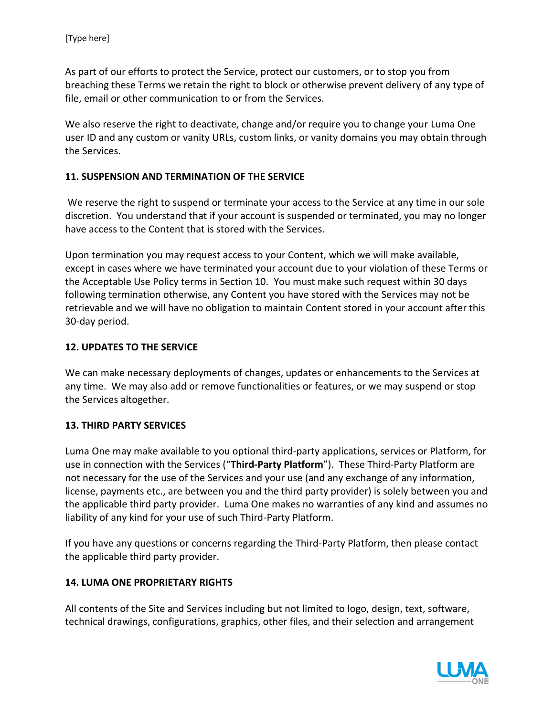As part of our efforts to protect the Service, protect our customers, or to stop you from breaching these Terms we retain the right to block or otherwise prevent delivery of any type of file, email or other communication to or from the Services.

We also reserve the right to deactivate, change and/or require you to change your Luma One user ID and any custom or vanity URLs, custom links, or vanity domains you may obtain through the Services.

#### **11. SUSPENSION AND TERMINATION OF THE SERVICE**

We reserve the right to suspend or terminate your access to the Service at any time in our sole discretion. You understand that if your account is suspended or terminated, you may no longer have access to the Content that is stored with the Services.

Upon termination you may request access to your Content, which we will make available, except in cases where we have terminated your account due to your violation of these Terms or the Acceptable Use Policy terms in Section 10. You must make such request within 30 days following termination otherwise, any Content you have stored with the Services may not be retrievable and we will have no obligation to maintain Content stored in your account after this 30-day period.

#### **12. UPDATES TO THE SERVICE**

We can make necessary deployments of changes, updates or enhancements to the Services at any time. We may also add or remove functionalities or features, or we may suspend or stop the Services altogether.

#### **13. THIRD PARTY SERVICES**

Luma One may make available to you optional third-party applications, services or Platform, for use in connection with the Services ("**Third-Party Platform**"). These Third-Party Platform are not necessary for the use of the Services and your use (and any exchange of any information, license, payments etc., are between you and the third party provider) is solely between you and the applicable third party provider. Luma One makes no warranties of any kind and assumes no liability of any kind for your use of such Third-Party Platform.

If you have any questions or concerns regarding the Third-Party Platform, then please contact the applicable third party provider.

#### **14. LUMA ONE PROPRIETARY RIGHTS**

All contents of the Site and Services including but not limited to logo, design, text, software, technical drawings, configurations, graphics, other files, and their selection and arrangement

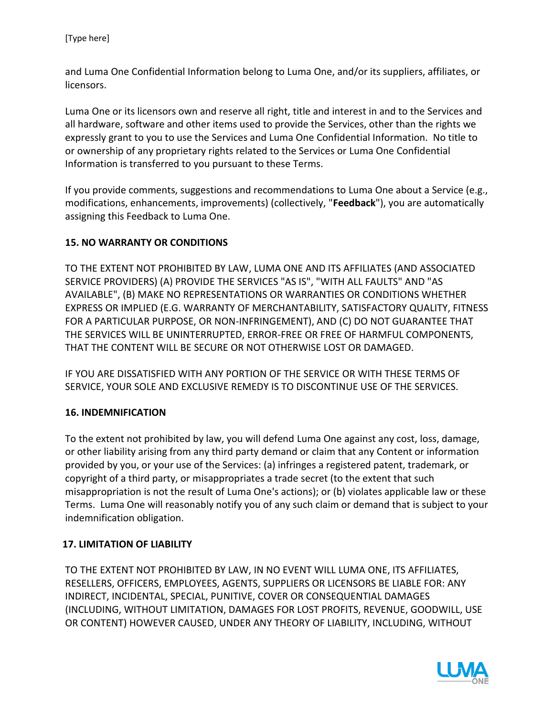and Luma One Confidential Information belong to Luma One, and/or its suppliers, affiliates, or licensors.

Luma One or its licensors own and reserve all right, title and interest in and to the Services and all hardware, software and other items used to provide the Services, other than the rights we expressly grant to you to use the Services and Luma One Confidential Information. No title to or ownership of any proprietary rights related to the Services or Luma One Confidential Information is transferred to you pursuant to these Terms.

If you provide comments, suggestions and recommendations to Luma One about a Service (e.g., modifications, enhancements, improvements) (collectively, "**Feedback**"), you are automatically assigning this Feedback to Luma One.

# **15. NO WARRANTY OR CONDITIONS**

TO THE EXTENT NOT PROHIBITED BY LAW, LUMA ONE AND ITS AFFILIATES (AND ASSOCIATED SERVICE PROVIDERS) (A) PROVIDE THE SERVICES "AS IS", "WITH ALL FAULTS" AND "AS AVAILABLE", (B) MAKE NO REPRESENTATIONS OR WARRANTIES OR CONDITIONS WHETHER EXPRESS OR IMPLIED (E.G. WARRANTY OF MERCHANTABILITY, SATISFACTORY QUALITY, FITNESS FOR A PARTICULAR PURPOSE, OR NON-INFRINGEMENT), AND (C) DO NOT GUARANTEE THAT THE SERVICES WILL BE UNINTERRUPTED, ERROR-FREE OR FREE OF HARMFUL COMPONENTS, THAT THE CONTENT WILL BE SECURE OR NOT OTHERWISE LOST OR DAMAGED.

IF YOU ARE DISSATISFIED WITH ANY PORTION OF THE SERVICE OR WITH THESE TERMS OF SERVICE, YOUR SOLE AND EXCLUSIVE REMEDY IS TO DISCONTINUE USE OF THE SERVICES.

## **16. INDEMNIFICATION**

To the extent not prohibited by law, you will defend Luma One against any cost, loss, damage, or other liability arising from any third party demand or claim that any Content or information provided by you, or your use of the Services: (a) infringes a registered patent, trademark, or copyright of a third party, or misappropriates a trade secret (to the extent that such misappropriation is not the result of Luma One's actions); or (b) violates applicable law or these Terms. Luma One will reasonably notify you of any such claim or demand that is subject to your indemnification obligation.

## **17. LIMITATION OF LIABILITY**

TO THE EXTENT NOT PROHIBITED BY LAW, IN NO EVENT WILL LUMA ONE, ITS AFFILIATES, RESELLERS, OFFICERS, EMPLOYEES, AGENTS, SUPPLIERS OR LICENSORS BE LIABLE FOR: ANY INDIRECT, INCIDENTAL, SPECIAL, PUNITIVE, COVER OR CONSEQUENTIAL DAMAGES (INCLUDING, WITHOUT LIMITATION, DAMAGES FOR LOST PROFITS, REVENUE, GOODWILL, USE OR CONTENT) HOWEVER CAUSED, UNDER ANY THEORY OF LIABILITY, INCLUDING, WITHOUT

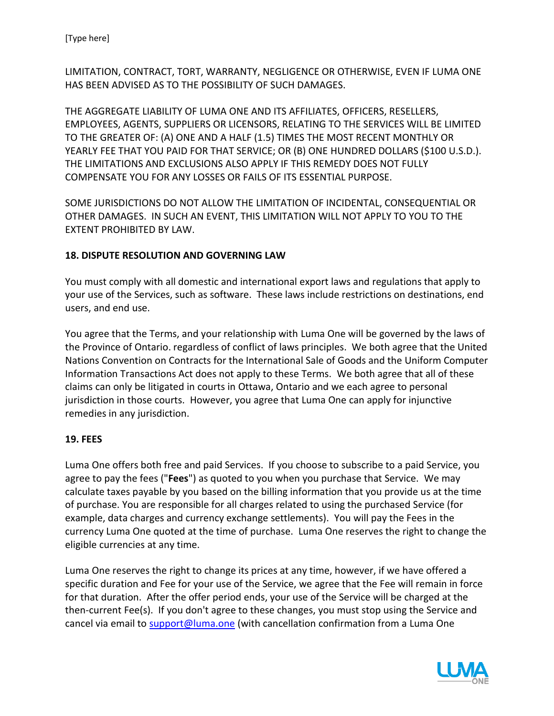LIMITATION, CONTRACT, TORT, WARRANTY, NEGLIGENCE OR OTHERWISE, EVEN IF LUMA ONE HAS BEEN ADVISED AS TO THE POSSIBILITY OF SUCH DAMAGES.

THE AGGREGATE LIABILITY OF LUMA ONE AND ITS AFFILIATES, OFFICERS, RESELLERS, EMPLOYEES, AGENTS, SUPPLIERS OR LICENSORS, RELATING TO THE SERVICES WILL BE LIMITED TO THE GREATER OF: (A) ONE AND A HALF (1.5) TIMES THE MOST RECENT MONTHLY OR YEARLY FEE THAT YOU PAID FOR THAT SERVICE; OR (B) ONE HUNDRED DOLLARS (\$100 U.S.D.). THE LIMITATIONS AND EXCLUSIONS ALSO APPLY IF THIS REMEDY DOES NOT FULLY COMPENSATE YOU FOR ANY LOSSES OR FAILS OF ITS ESSENTIAL PURPOSE.

SOME JURISDICTIONS DO NOT ALLOW THE LIMITATION OF INCIDENTAL, CONSEQUENTIAL OR OTHER DAMAGES. IN SUCH AN EVENT, THIS LIMITATION WILL NOT APPLY TO YOU TO THE EXTENT PROHIBITED BY LAW.

## **18. DISPUTE RESOLUTION AND GOVERNING LAW**

You must comply with all domestic and international export laws and regulations that apply to your use of the Services, such as software. These laws include restrictions on destinations, end users, and end use.

You agree that the Terms, and your relationship with Luma One will be governed by the laws of the Province of Ontario. regardless of conflict of laws principles. We both agree that the United Nations Convention on Contracts for the International Sale of Goods and the Uniform Computer Information Transactions Act does not apply to these Terms. We both agree that all of these claims can only be litigated in courts in Ottawa, Ontario and we each agree to personal jurisdiction in those courts. However, you agree that Luma One can apply for injunctive remedies in any jurisdiction.

## **19. FEES**

Luma One offers both free and paid Services. If you choose to subscribe to a paid Service, you agree to pay the fees ("**Fees**") as quoted to you when you purchase that Service. We may calculate taxes payable by you based on the billing information that you provide us at the time of purchase. You are responsible for all charges related to using the purchased Service (for example, data charges and currency exchange settlements). You will pay the Fees in the currency Luma One quoted at the time of purchase. Luma One reserves the right to change the eligible currencies at any time.

Luma One reserves the right to change its prices at any time, however, if we have offered a specific duration and Fee for your use of the Service, we agree that the Fee will remain in force for that duration. After the offer period ends, your use of the Service will be charged at the then-current Fee(s). If you don't agree to these changes, you must stop using the Service and cancel via email to support@luma.one (with cancellation confirmation from a Luma One

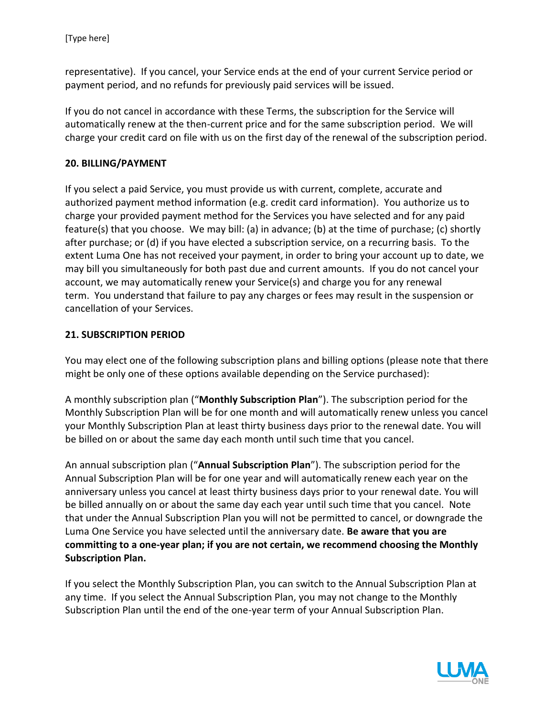representative). If you cancel, your Service ends at the end of your current Service period or payment period, and no refunds for previously paid services will be issued.

If you do not cancel in accordance with these Terms, the subscription for the Service will automatically renew at the then-current price and for the same subscription period. We will charge your credit card on file with us on the first day of the renewal of the subscription period.

## **20. BILLING/PAYMENT**

If you select a paid Service, you must provide us with current, complete, accurate and authorized payment method information (e.g. credit card information). You authorize us to charge your provided payment method for the Services you have selected and for any paid feature(s) that you choose. We may bill: (a) in advance; (b) at the time of purchase; (c) shortly after purchase; or (d) if you have elected a subscription service, on a recurring basis. To the extent Luma One has not received your payment, in order to bring your account up to date, we may bill you simultaneously for both past due and current amounts. If you do not cancel your account, we may automatically renew your Service(s) and charge you for any renewal term. You understand that failure to pay any charges or fees may result in the suspension or cancellation of your Services.

#### **21. SUBSCRIPTION PERIOD**

You may elect one of the following subscription plans and billing options (please note that there might be only one of these options available depending on the Service purchased):

A monthly subscription plan ("**Monthly Subscription Plan**"). The subscription period for the Monthly Subscription Plan will be for one month and will automatically renew unless you cancel your Monthly Subscription Plan at least thirty business days prior to the renewal date. You will be billed on or about the same day each month until such time that you cancel.

An annual subscription plan ("**Annual Subscription Plan**"). The subscription period for the Annual Subscription Plan will be for one year and will automatically renew each year on the anniversary unless you cancel at least thirty business days prior to your renewal date. You will be billed annually on or about the same day each year until such time that you cancel. Note that under the Annual Subscription Plan you will not be permitted to cancel, or downgrade the Luma One Service you have selected until the anniversary date. **Be aware that you are committing to a one-year plan; if you are not certain, we recommend choosing the Monthly Subscription Plan.** 

If you select the Monthly Subscription Plan, you can switch to the Annual Subscription Plan at any time. If you select the Annual Subscription Plan, you may not change to the Monthly Subscription Plan until the end of the one-year term of your Annual Subscription Plan.

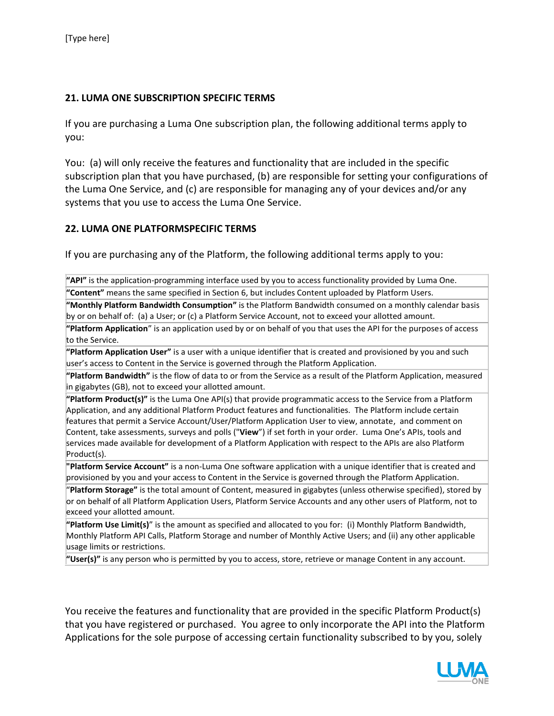## **21. LUMA ONE SUBSCRIPTION SPECIFIC TERMS**

If you are purchasing a Luma One subscription plan, the following additional terms apply to you:

You: (a) will only receive the features and functionality that are included in the specific subscription plan that you have purchased, (b) are responsible for setting your configurations of the Luma One Service, and (c) are responsible for managing any of your devices and/or any systems that you use to access the Luma One Service.

#### **22. LUMA ONE PLATFORMSPECIFIC TERMS**

If you are purchasing any of the Platform, the following additional terms apply to you:

**"API"** is the application-programming interface used by you to access functionality provided by Luma One. **"Content"** means the same specified in Section 6, but includes Content uploaded by Platform Users.

**"Monthly Platform Bandwidth Consumption"** is the Platform Bandwidth consumed on a monthly calendar basis by or on behalf of: (a) a User; or (c) a Platform Service Account, not to exceed your allotted amount.

**"Platform Application**" is an application used by or on behalf of you that uses the API for the purposes of access to the Service.

**"Platform Application User"** is a user with a unique identifier that is created and provisioned by you and such user's access to Content in the Service is governed through the Platform Application.

**"Platform Bandwidth"** is the flow of data to or from the Service as a result of the Platform Application, measured in gigabytes (GB), not to exceed your allotted amount.

**"Platform Product(s)"** is the Luma One API(s) that provide programmatic access to the Service from a Platform Application, and any additional Platform Product features and functionalities. The Platform include certain features that permit a Service Account/User/Platform Application User to view, annotate, and comment on Content, take assessments, surveys and polls ("**View**") if set forth in your order. Luma One's APIs, tools and services made available for development of a Platform Application with respect to the APIs are also Platform Product(s).

**"Platform Service Account"** is a non-Luma One software application with a unique identifier that is created and provisioned by you and your access to Content in the Service is governed through the Platform Application.

"**Platform Storage"** is the total amount of Content, measured in gigabytes (unless otherwise specified), stored by or on behalf of all Platform Application Users, Platform Service Accounts and any other users of Platform, not to exceed your allotted amount.

**"Platform Use Limit(s)**" is the amount as specified and allocated to you for: (i) Monthly Platform Bandwidth, Monthly Platform API Calls, Platform Storage and number of Monthly Active Users; and (ii) any other applicable usage limits or restrictions.

**"User(s)"** is any person who is permitted by you to access, store, retrieve or manage Content in any account.

You receive the features and functionality that are provided in the specific Platform Product(s) that you have registered or purchased. You agree to only incorporate the API into the Platform Applications for the sole purpose of accessing certain functionality subscribed to by you, solely

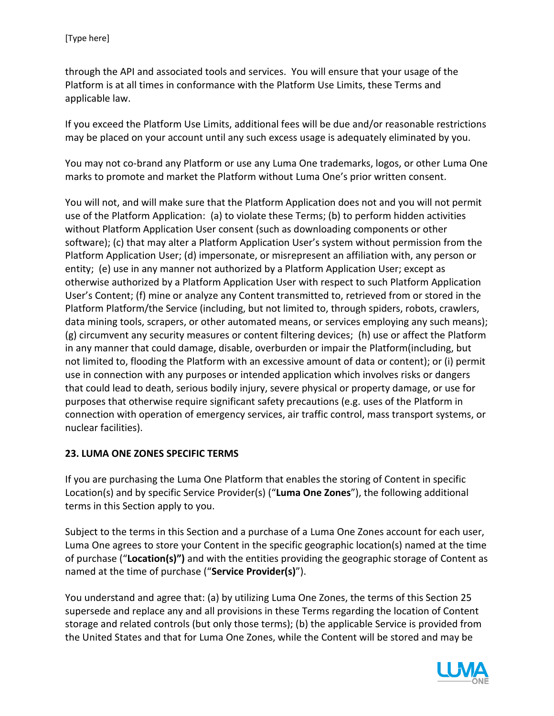through the API and associated tools and services. You will ensure that your usage of the Platform is at all times in conformance with the Platform Use Limits, these Terms and applicable law.

If you exceed the Platform Use Limits, additional fees will be due and/or reasonable restrictions may be placed on your account until any such excess usage is adequately eliminated by you.

You may not co-brand any Platform or use any Luma One trademarks, logos, or other Luma One marks to promote and market the Platform without Luma One's prior written consent.

You will not, and will make sure that the Platform Application does not and you will not permit use of the Platform Application: (a) to violate these Terms; (b) to perform hidden activities without Platform Application User consent (such as downloading components or other software); (c) that may alter a Platform Application User's system without permission from the Platform Application User; (d) impersonate, or misrepresent an affiliation with, any person or entity; (e) use in any manner not authorized by a Platform Application User; except as otherwise authorized by a Platform Application User with respect to such Platform Application User's Content; (f) mine or analyze any Content transmitted to, retrieved from or stored in the Platform Platform/the Service (including, but not limited to, through spiders, robots, crawlers, data mining tools, scrapers, or other automated means, or services employing any such means); (g) circumvent any security measures or content filtering devices; (h) use or affect the Platform in any manner that could damage, disable, overburden or impair the Platform(including, but not limited to, flooding the Platform with an excessive amount of data or content); or (i) permit use in connection with any purposes or intended application which involves risks or dangers that could lead to death, serious bodily injury, severe physical or property damage, or use for purposes that otherwise require significant safety precautions (e.g. uses of the Platform in connection with operation of emergency services, air traffic control, mass transport systems, or nuclear facilities).

## **23. LUMA ONE ZONES SPECIFIC TERMS**

If you are purchasing the Luma One Platform that enables the storing of Content in specific Location(s) and by specific Service Provider(s) ("**Luma One Zones**"), the following additional terms in this Section apply to you.

Subject to the terms in this Section and a purchase of a Luma One Zones account for each user, Luma One agrees to store your Content in the specific geographic location(s) named at the time of purchase ("**Location(s)")** and with the entities providing the geographic storage of Content as named at the time of purchase ("**Service Provider(s)**").

You understand and agree that: (a) by utilizing Luma One Zones, the terms of this Section 25 supersede and replace any and all provisions in these Terms regarding the location of Content storage and related controls (but only those terms); (b) the applicable Service is provided from the United States and that for Luma One Zones, while the Content will be stored and may be

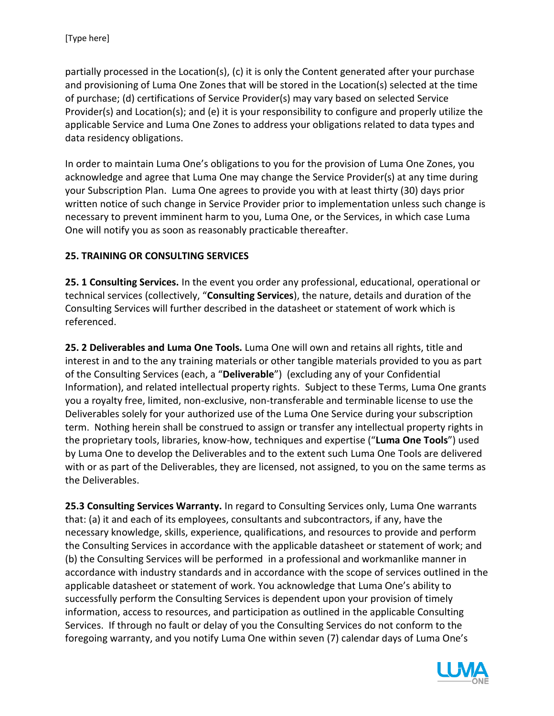partially processed in the Location(s), (c) it is only the Content generated after your purchase and provisioning of Luma One Zones that will be stored in the Location(s) selected at the time of purchase; (d) certifications of Service Provider(s) may vary based on selected Service Provider(s) and Location(s); and (e) it is your responsibility to configure and properly utilize the applicable Service and Luma One Zones to address your obligations related to data types and data residency obligations.

In order to maintain Luma One's obligations to you for the provision of Luma One Zones, you acknowledge and agree that Luma One may change the Service Provider(s) at any time during your Subscription Plan. Luma One agrees to provide you with at least thirty (30) days prior written notice of such change in Service Provider prior to implementation unless such change is necessary to prevent imminent harm to you, Luma One, or the Services, in which case Luma One will notify you as soon as reasonably practicable thereafter.

## **25. TRAINING OR CONSULTING SERVICES**

**25. 1 Consulting Services.** In the event you order any professional, educational, operational or technical services (collectively, "**Consulting Services**), the nature, details and duration of the Consulting Services will further described in the datasheet or statement of work which is referenced.

**25. 2 Deliverables and Luma One Tools.** Luma One will own and retains all rights, title and interest in and to the any training materials or other tangible materials provided to you as part of the Consulting Services (each, a "**Deliverable**") (excluding any of your Confidential Information), and related intellectual property rights. Subject to these Terms, Luma One grants you a royalty free, limited, non-exclusive, non-transferable and terminable license to use the Deliverables solely for your authorized use of the Luma One Service during your subscription term. Nothing herein shall be construed to assign or transfer any intellectual property rights in the proprietary tools, libraries, know-how, techniques and expertise ("**Luma One Tools**") used by Luma One to develop the Deliverables and to the extent such Luma One Tools are delivered with or as part of the Deliverables, they are licensed, not assigned, to you on the same terms as the Deliverables.

**25.3 Consulting Services Warranty.** In regard to Consulting Services only, Luma One warrants that: (a) it and each of its employees, consultants and subcontractors, if any, have the necessary knowledge, skills, experience, qualifications, and resources to provide and perform the Consulting Services in accordance with the applicable datasheet or statement of work; and (b) the Consulting Services will be performed in a professional and workmanlike manner in accordance with industry standards and in accordance with the scope of services outlined in the applicable datasheet or statement of work. You acknowledge that Luma One's ability to successfully perform the Consulting Services is dependent upon your provision of timely information, access to resources, and participation as outlined in the applicable Consulting Services. If through no fault or delay of you the Consulting Services do not conform to the foregoing warranty, and you notify Luma One within seven (7) calendar days of Luma One's